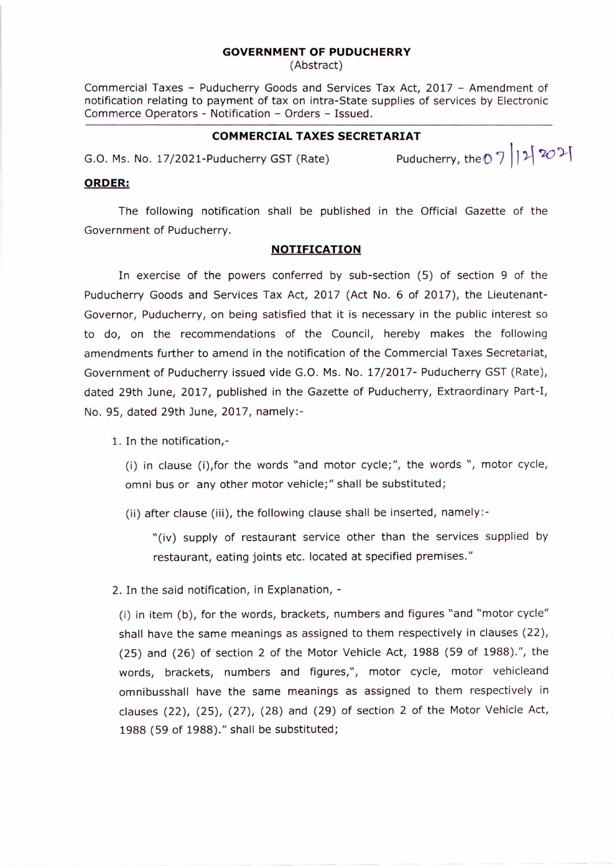## **GOVERNMENT OF PUDUCHERRY**

(Abstract)

Commercial Taxes - Puducherry Goods and Services Tax Act, 2017 - Amendment of notification relating to payment of tax on intra-State supplies of services by Electronic Commerce Operators - Notification - Orders - Issued.

## **COMMERCIAL TAXES SECRETARIAT**

G.O. Ms. No. 17/2021-Puducherry GST (Rate) Puducherry, the 0 7 12  $\frac{20}{1}$ 

## **ORDER:**

The following notification shall be published in the Official Gazette of the Government of Puducherry.

## **NOTIFICATION**

In exercise of the powers conferred by sub-section (5) of section 9 of the Puducherry Goods and Services Tax Act, 2017 (Act No. 6 of 2017), the Lieutenant-Governor, Puducherry, on being satisfied that it is necessary in the public interest so to do, on the recommendations of the Council, hereby makes the following amendments further to amend in the notification of the Commercial Taxes Secretariat, Government of Puducherry issued vide G.O. Ms. No. 17/2017- Puducherry GST (Rate), dated 29th June, 2017, published in the Gazette of Puducherry, Extraordinary Part-I, No. 95, dated 29th June, 2017, namely:-

1. In the notification,-

(i) in clause (i),for the words "and motor cycle;", the words ", motor cycle, omni bus or any other motor vehicle;" shall be substituted;

(ii) after clause (iii), the following clause shall be inserted, namely:-

"(iv) supply of restaurant service other than the services supplied by restaurant, eating joints etc. located at specified premises."

2. In the said notification, in Explanation, -

(i) in item (b), for the words, brackets, numbers and figures "and "motor cycle" shall have the same meanings as assigned to them respectively in clauses (22), (25) and (26) of section 2 of the Motor Vehicle Act, 1988 (59 of 1988).", the words, brackets, numbers and figures,", motor cycle, motor vehicleand omnibusshall have the same meanings as assigned to them respectively in clauses (22), (25), (27), (28) and (29) of section 2 of the Motor Vehicle Act, 1988 (59 of 1988)." shall be substituted;